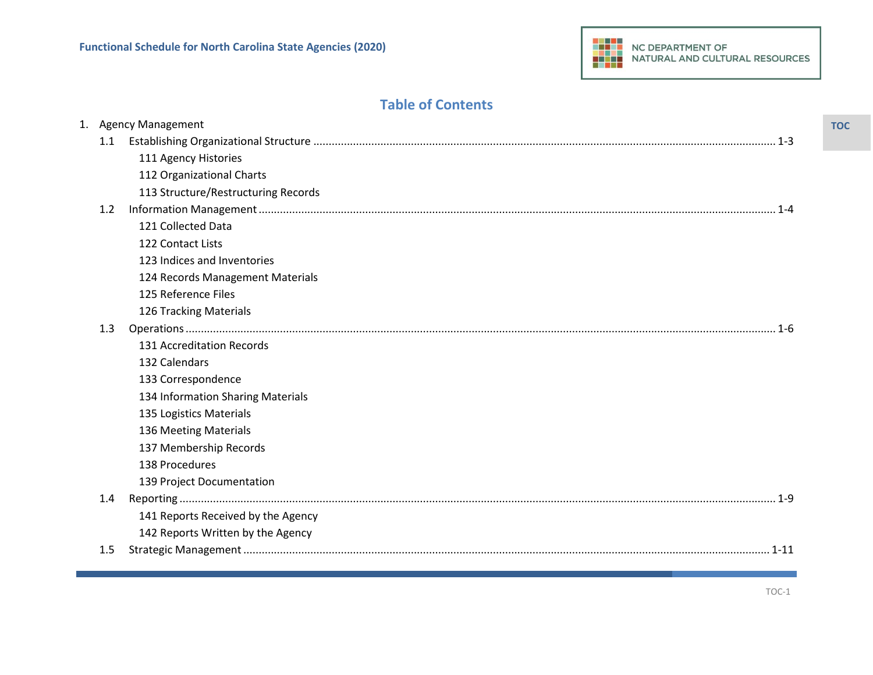## **Table of Contents**

|               | 1. Agency Management                |  |
|---------------|-------------------------------------|--|
| 1.1           |                                     |  |
|               | 111 Agency Histories                |  |
|               | 112 Organizational Charts           |  |
|               | 113 Structure/Restructuring Records |  |
| 1.2           |                                     |  |
|               | 121 Collected Data                  |  |
|               | 122 Contact Lists                   |  |
|               | 123 Indices and Inventories         |  |
|               | 124 Records Management Materials    |  |
|               | 125 Reference Files                 |  |
|               | 126 Tracking Materials              |  |
| 1.3           |                                     |  |
|               | 131 Accreditation Records           |  |
|               | 132 Calendars                       |  |
|               | 133 Correspondence                  |  |
|               | 134 Information Sharing Materials   |  |
|               | 135 Logistics Materials             |  |
|               | 136 Meeting Materials               |  |
|               | 137 Membership Records              |  |
|               | 138 Procedures                      |  |
|               | 139 Project Documentation           |  |
| $1.4^{\circ}$ |                                     |  |
|               | 141 Reports Received by the Agency  |  |
|               | 142 Reports Written by the Agency   |  |
| 1.5           | $1 - 11$                            |  |
|               |                                     |  |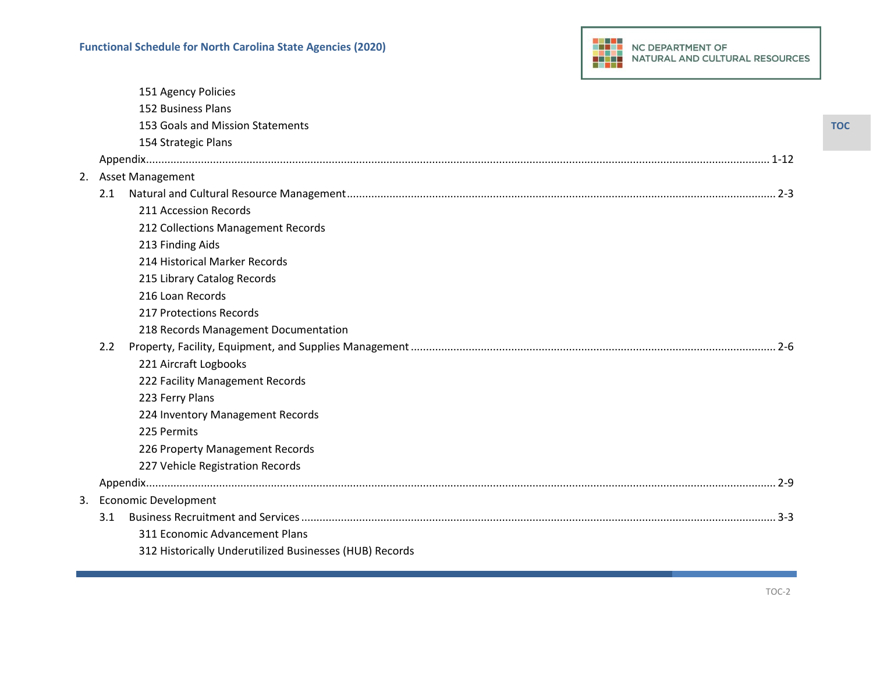|  | <b>NC DEPARTMENT OF</b><br>NATURAL AND CULTURAL RESOURCES |
|--|-----------------------------------------------------------|
|--|-----------------------------------------------------------|

|    |               | 151 Agency Policies                                     |
|----|---------------|---------------------------------------------------------|
|    |               | 152 Business Plans                                      |
|    |               | 153 Goals and Mission Statements                        |
|    |               | 154 Strategic Plans                                     |
|    |               |                                                         |
| 2. |               | <b>Asset Management</b>                                 |
|    | 2.1           |                                                         |
|    |               | 211 Accession Records                                   |
|    |               | 212 Collections Management Records                      |
|    |               | 213 Finding Aids                                        |
|    |               | 214 Historical Marker Records                           |
|    |               | 215 Library Catalog Records                             |
|    |               | 216 Loan Records                                        |
|    |               | 217 Protections Records                                 |
|    |               | 218 Records Management Documentation                    |
|    | $2.2^{\circ}$ |                                                         |
|    |               | 221 Aircraft Logbooks                                   |
|    |               | 222 Facility Management Records                         |
|    |               | 223 Ferry Plans                                         |
|    |               | 224 Inventory Management Records                        |
|    |               | 225 Permits                                             |
|    |               | 226 Property Management Records                         |
|    |               | 227 Vehicle Registration Records                        |
|    |               |                                                         |
|    |               | 3. Economic Development                                 |
|    | 3.1           |                                                         |
|    |               | 311 Economic Advancement Plans                          |
|    |               | 312 Historically Underutilized Businesses (HUB) Records |
|    |               |                                                         |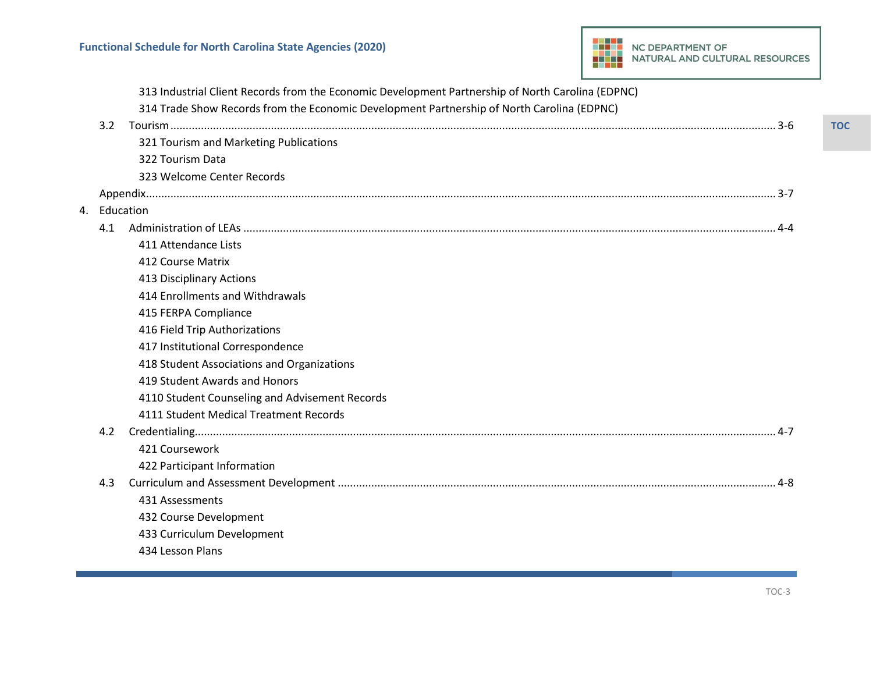

|    |               | 313 Industrial Client Records from the Economic Development Partnership of North Carolina (EDPNC) |
|----|---------------|---------------------------------------------------------------------------------------------------|
|    |               | 314 Trade Show Records from the Economic Development Partnership of North Carolina (EDPNC)        |
|    | $3.2^{\circ}$ |                                                                                                   |
|    |               | 321 Tourism and Marketing Publications                                                            |
|    |               | 322 Tourism Data                                                                                  |
|    |               | 323 Welcome Center Records                                                                        |
|    |               |                                                                                                   |
| 4. | Education     |                                                                                                   |
|    | 4.1           |                                                                                                   |
|    |               | 411 Attendance Lists                                                                              |
|    |               | 412 Course Matrix                                                                                 |
|    |               | 413 Disciplinary Actions                                                                          |
|    |               | 414 Enrollments and Withdrawals                                                                   |
|    |               | 415 FERPA Compliance                                                                              |
|    |               | 416 Field Trip Authorizations                                                                     |
|    |               | 417 Institutional Correspondence                                                                  |
|    |               | 418 Student Associations and Organizations                                                        |
|    |               | 419 Student Awards and Honors                                                                     |
|    |               | 4110 Student Counseling and Advisement Records                                                    |
|    |               | 4111 Student Medical Treatment Records                                                            |
|    | 4.2           |                                                                                                   |
|    |               | 421 Coursework                                                                                    |
|    |               | 422 Participant Information                                                                       |
|    | 4.3           |                                                                                                   |
|    |               | 431 Assessments                                                                                   |
|    |               | 432 Course Development                                                                            |
|    |               | 433 Curriculum Development                                                                        |
|    |               | 434 Lesson Plans                                                                                  |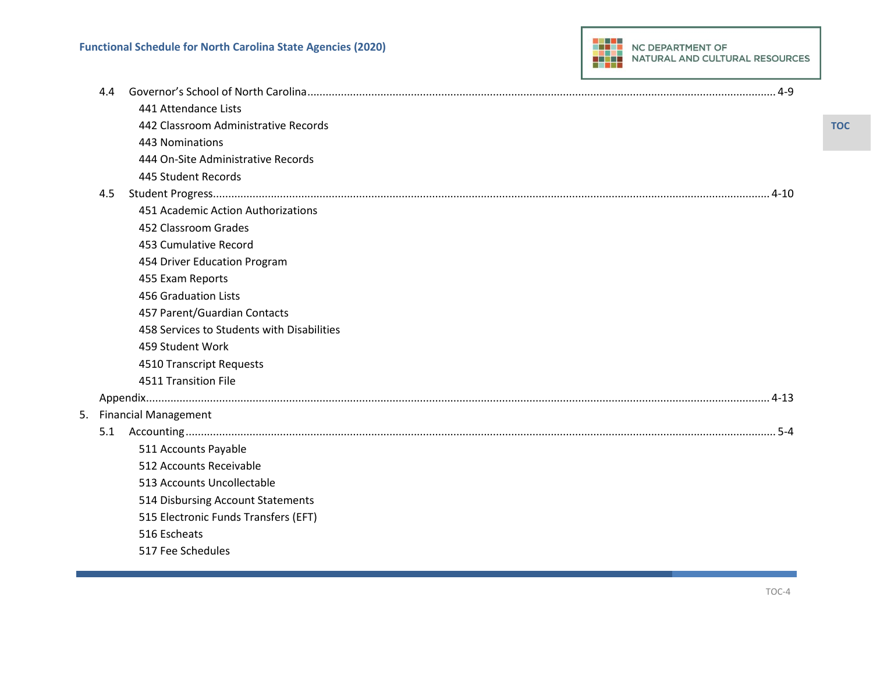

|    | 4.4 |                                            |  |
|----|-----|--------------------------------------------|--|
|    |     | 441 Attendance Lists                       |  |
|    |     | 442 Classroom Administrative Records       |  |
|    |     | 443 Nominations                            |  |
|    |     | 444 On-Site Administrative Records         |  |
|    |     | 445 Student Records                        |  |
|    | 4.5 |                                            |  |
|    |     | 451 Academic Action Authorizations         |  |
|    |     | 452 Classroom Grades                       |  |
|    |     | 453 Cumulative Record                      |  |
|    |     | 454 Driver Education Program               |  |
|    |     | 455 Exam Reports                           |  |
|    |     | 456 Graduation Lists                       |  |
|    |     | 457 Parent/Guardian Contacts               |  |
|    |     | 458 Services to Students with Disabilities |  |
|    |     | 459 Student Work                           |  |
|    |     | 4510 Transcript Requests                   |  |
|    |     | 4511 Transition File                       |  |
|    |     |                                            |  |
| 5. |     | <b>Financial Management</b>                |  |
|    | 5.1 |                                            |  |
|    |     | 511 Accounts Payable                       |  |
|    |     | 512 Accounts Receivable                    |  |
|    |     | 513 Accounts Uncollectable                 |  |
|    |     | 514 Disbursing Account Statements          |  |
|    |     | 515 Electronic Funds Transfers (EFT)       |  |
|    |     | 516 Escheats                               |  |
|    |     | 517 Fee Schedules                          |  |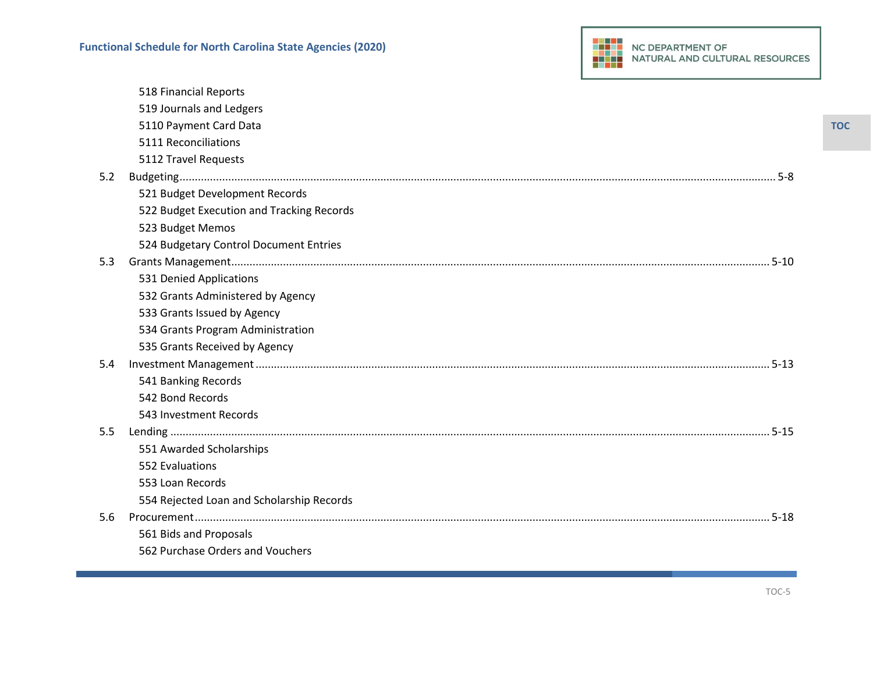|     | 518 Financial Reports                     |
|-----|-------------------------------------------|
|     | 519 Journals and Ledgers                  |
|     | 5110 Payment Card Data                    |
|     | 5111 Reconciliations                      |
|     | 5112 Travel Requests                      |
| 5.2 | 5-8                                       |
|     | 521 Budget Development Records            |
|     | 522 Budget Execution and Tracking Records |
|     | 523 Budget Memos                          |
|     | 524 Budgetary Control Document Entries    |
| 5.3 |                                           |
|     | 531 Denied Applications                   |
|     | 532 Grants Administered by Agency         |
|     | 533 Grants Issued by Agency               |
|     | 534 Grants Program Administration         |
|     | 535 Grants Received by Agency             |
| 5.4 |                                           |
|     | 541 Banking Records                       |
|     | 542 Bond Records                          |
|     | 543 Investment Records                    |
| 5.5 |                                           |
|     | 551 Awarded Scholarships                  |
|     | 552 Evaluations                           |
|     | 553 Loan Records                          |
|     | 554 Rejected Loan and Scholarship Records |
| 5.6 |                                           |
|     | 561 Bids and Proposals                    |
|     | 562 Purchase Orders and Vouchers          |
|     |                                           |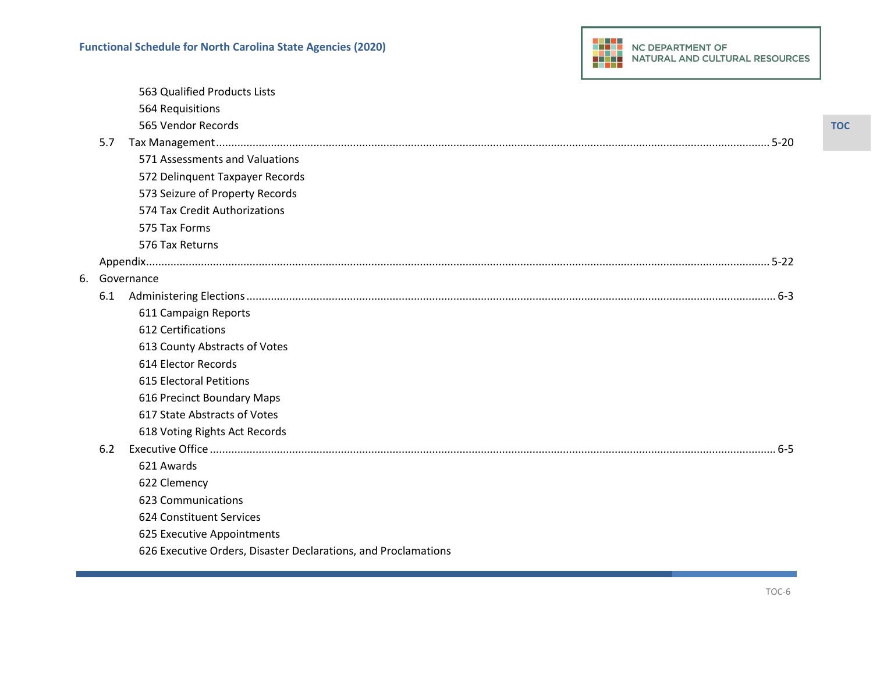|    |     | 563 Qualified Products Lists                                   |
|----|-----|----------------------------------------------------------------|
|    |     | 564 Requisitions                                               |
|    |     | 565 Vendor Records                                             |
|    | 5.7 |                                                                |
|    |     | 571 Assessments and Valuations                                 |
|    |     | 572 Delinquent Taxpayer Records                                |
|    |     | 573 Seizure of Property Records                                |
|    |     | 574 Tax Credit Authorizations                                  |
|    |     | 575 Tax Forms                                                  |
|    |     | 576 Tax Returns                                                |
|    |     |                                                                |
| 6. |     | Governance                                                     |
|    | 6.1 |                                                                |
|    |     | 611 Campaign Reports                                           |
|    |     | 612 Certifications                                             |
|    |     | 613 County Abstracts of Votes                                  |
|    |     | 614 Elector Records                                            |
|    |     | 615 Electoral Petitions                                        |
|    |     | 616 Precinct Boundary Maps                                     |
|    |     | 617 State Abstracts of Votes                                   |
|    |     | 618 Voting Rights Act Records                                  |
|    | 6.2 |                                                                |
|    |     | 621 Awards                                                     |
|    |     | 622 Clemency                                                   |
|    |     | 623 Communications                                             |
|    |     | 624 Constituent Services                                       |
|    |     | 625 Executive Appointments                                     |
|    |     | 626 Executive Orders, Disaster Declarations, and Proclamations |
|    |     |                                                                |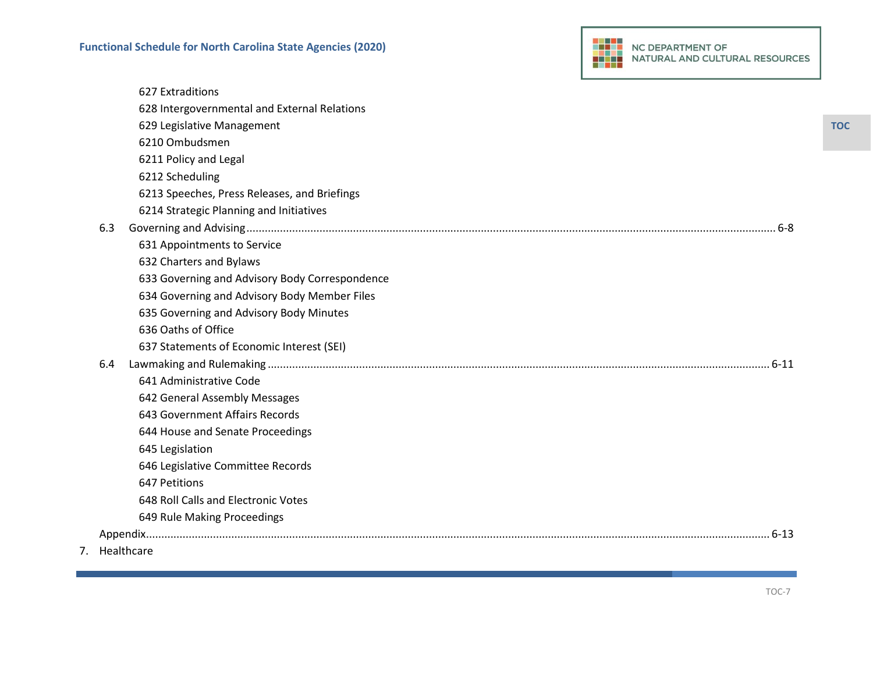

|     | 627 Extraditions                               |
|-----|------------------------------------------------|
|     | 628 Intergovernmental and External Relations   |
|     | 629 Legislative Management                     |
|     | 6210 Ombudsmen                                 |
|     | 6211 Policy and Legal                          |
|     | 6212 Scheduling                                |
|     | 6213 Speeches, Press Releases, and Briefings   |
|     | 6214 Strategic Planning and Initiatives        |
| 6.3 |                                                |
|     | 631 Appointments to Service                    |
|     | 632 Charters and Bylaws                        |
|     | 633 Governing and Advisory Body Correspondence |
|     | 634 Governing and Advisory Body Member Files   |
|     | 635 Governing and Advisory Body Minutes        |
|     | 636 Oaths of Office                            |
|     | 637 Statements of Economic Interest (SEI)      |
| 6.4 |                                                |
|     | 641 Administrative Code                        |
|     | 642 General Assembly Messages                  |
|     | 643 Government Affairs Records                 |
|     | 644 House and Senate Proceedings               |
|     | 645 Legislation                                |
|     | 646 Legislative Committee Records              |
|     | 647 Petitions                                  |
|     | 648 Roll Calls and Electronic Votes            |
|     | 649 Rule Making Proceedings                    |
|     |                                                |
|     |                                                |

7. Healthcare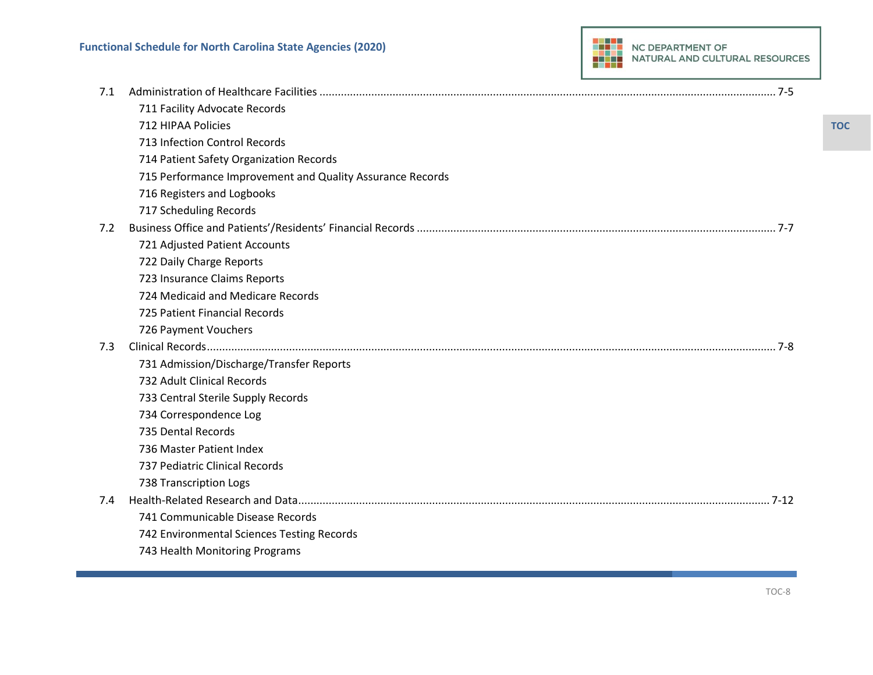| 7.1 |                                                           |
|-----|-----------------------------------------------------------|
|     | 711 Facility Advocate Records                             |
|     | 712 HIPAA Policies                                        |
|     | 713 Infection Control Records                             |
|     | 714 Patient Safety Organization Records                   |
|     | 715 Performance Improvement and Quality Assurance Records |
|     | 716 Registers and Logbooks                                |
|     | 717 Scheduling Records                                    |
| 7.2 |                                                           |
|     | 721 Adjusted Patient Accounts                             |
|     | 722 Daily Charge Reports                                  |
|     | 723 Insurance Claims Reports                              |
|     | 724 Medicaid and Medicare Records                         |
|     | 725 Patient Financial Records                             |
|     | 726 Payment Vouchers                                      |
| 7.3 |                                                           |
|     | 731 Admission/Discharge/Transfer Reports                  |
|     | 732 Adult Clinical Records                                |
|     | 733 Central Sterile Supply Records                        |
|     | 734 Correspondence Log                                    |
|     | 735 Dental Records                                        |
|     | 736 Master Patient Index                                  |
|     | 737 Pediatric Clinical Records                            |
|     | 738 Transcription Logs                                    |
| 7.4 |                                                           |
|     | 741 Communicable Disease Records                          |
|     | 742 Environmental Sciences Testing Records                |
|     | 743 Health Monitoring Programs                            |

TOC-8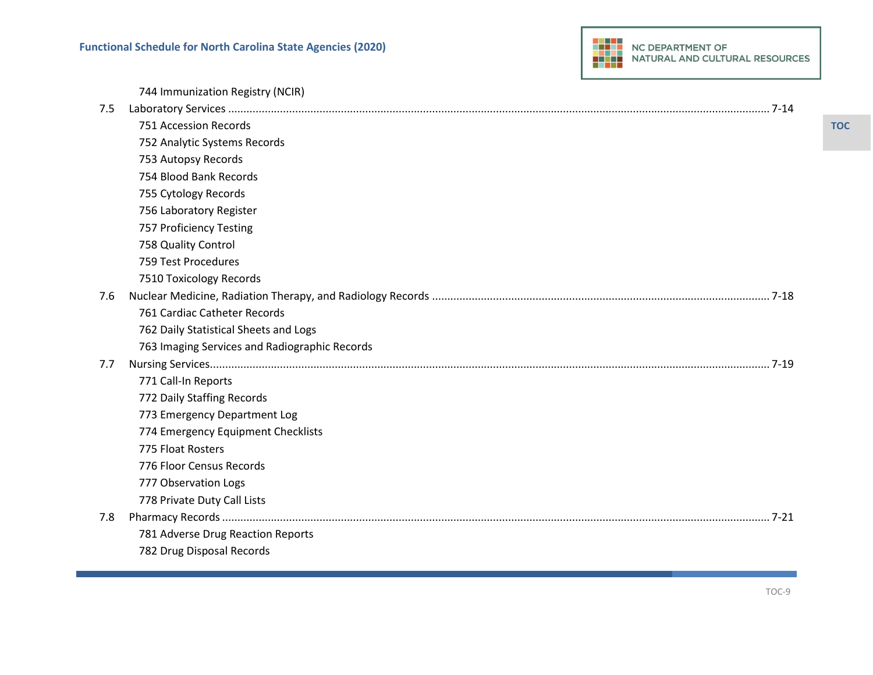

|     | 744 Immunization Registry (NCIR)              |
|-----|-----------------------------------------------|
| 7.5 |                                               |
|     | 751 Accession Records                         |
|     | 752 Analytic Systems Records                  |
|     | 753 Autopsy Records                           |
|     | 754 Blood Bank Records                        |
|     | 755 Cytology Records                          |
|     | 756 Laboratory Register                       |
|     | 757 Proficiency Testing                       |
|     | 758 Quality Control                           |
|     | 759 Test Procedures                           |
|     | 7510 Toxicology Records                       |
| 7.6 |                                               |
|     | 761 Cardiac Catheter Records                  |
|     | 762 Daily Statistical Sheets and Logs         |
|     | 763 Imaging Services and Radiographic Records |
| 7.7 |                                               |
|     | 771 Call-In Reports                           |
|     | 772 Daily Staffing Records                    |
|     | 773 Emergency Department Log                  |
|     | 774 Emergency Equipment Checklists            |
|     | 775 Float Rosters                             |
|     | 776 Floor Census Records                      |
|     | 777 Observation Logs                          |
|     | 778 Private Duty Call Lists                   |
| 7.8 | $7 - 21$                                      |
|     | 781 Adverse Drug Reaction Reports             |
|     | 782 Drug Disposal Records                     |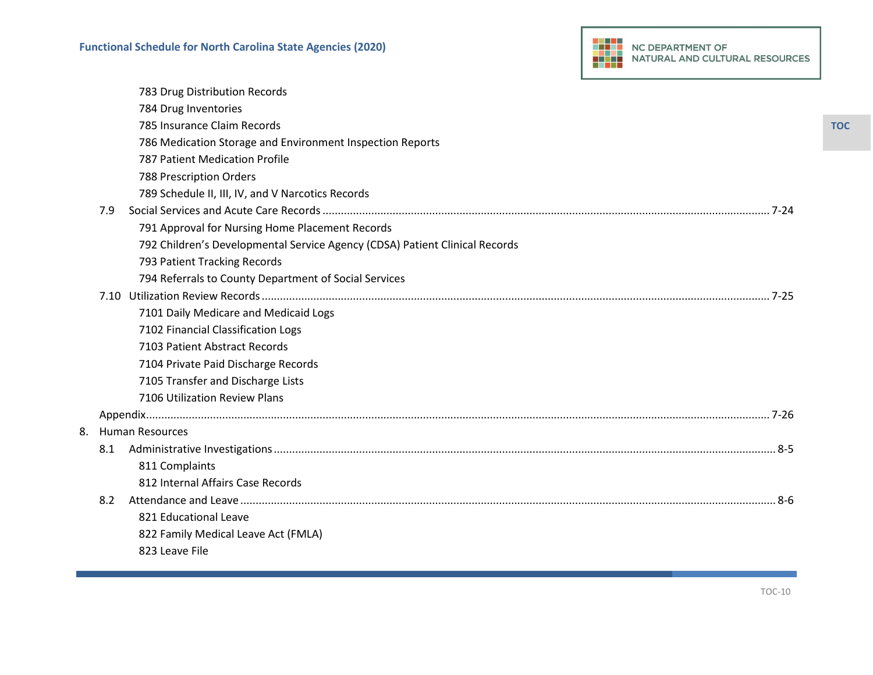

|    |     | 783 Drug Distribution Records                                               |
|----|-----|-----------------------------------------------------------------------------|
|    |     | 784 Drug Inventories                                                        |
|    |     | 785 Insurance Claim Records                                                 |
|    |     | 786 Medication Storage and Environment Inspection Reports                   |
|    |     | 787 Patient Medication Profile                                              |
|    |     | 788 Prescription Orders                                                     |
|    |     | 789 Schedule II, III, IV, and V Narcotics Records                           |
|    | 7.9 |                                                                             |
|    |     | 791 Approval for Nursing Home Placement Records                             |
|    |     | 792 Children's Developmental Service Agency (CDSA) Patient Clinical Records |
|    |     | 793 Patient Tracking Records                                                |
|    |     | 794 Referrals to County Department of Social Services                       |
|    |     |                                                                             |
|    |     | 7101 Daily Medicare and Medicaid Logs                                       |
|    |     | 7102 Financial Classification Logs                                          |
|    |     | 7103 Patient Abstract Records                                               |
|    |     | 7104 Private Paid Discharge Records                                         |
|    |     | 7105 Transfer and Discharge Lists                                           |
|    |     | 7106 Utilization Review Plans                                               |
|    |     |                                                                             |
| 8. |     | <b>Human Resources</b>                                                      |
|    | 8.1 |                                                                             |
|    |     | 811 Complaints                                                              |
|    |     | 812 Internal Affairs Case Records                                           |
|    | 8.2 |                                                                             |
|    |     | 821 Educational Leave                                                       |
|    |     | 822 Family Medical Leave Act (FMLA)                                         |
|    |     | 823 Leave File                                                              |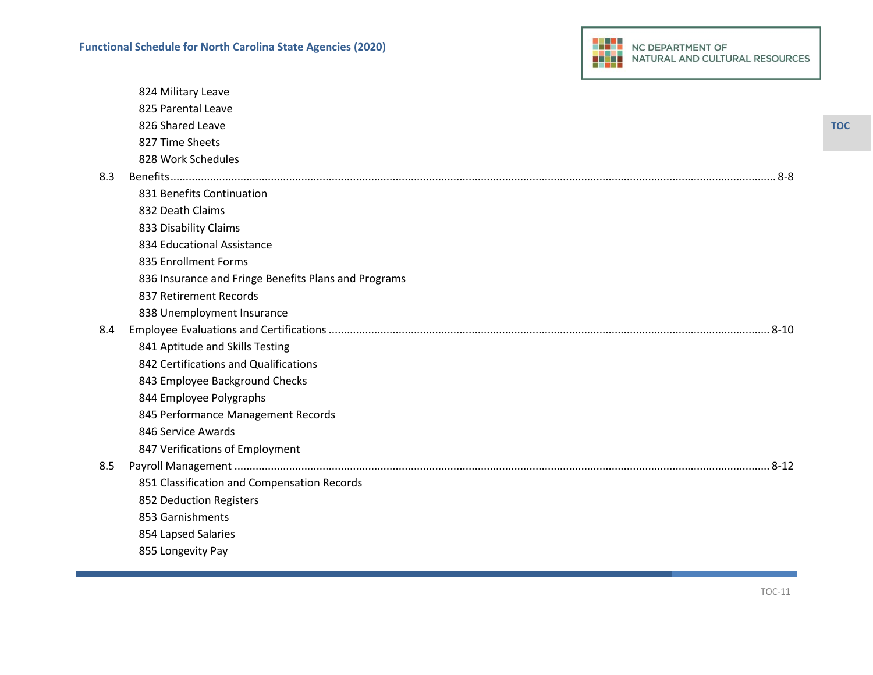|     | 824 Military Leave                                   |
|-----|------------------------------------------------------|
|     | 825 Parental Leave                                   |
|     | 826 Shared Leave                                     |
|     | 827 Time Sheets                                      |
|     | 828 Work Schedules                                   |
| 8.3 |                                                      |
|     | 831 Benefits Continuation                            |
|     | 832 Death Claims                                     |
|     | 833 Disability Claims                                |
|     | 834 Educational Assistance                           |
|     | 835 Enrollment Forms                                 |
|     | 836 Insurance and Fringe Benefits Plans and Programs |
|     | 837 Retirement Records                               |
|     | 838 Unemployment Insurance                           |
| 8.4 |                                                      |
|     | 841 Aptitude and Skills Testing                      |
|     | 842 Certifications and Qualifications                |
|     | 843 Employee Background Checks                       |
|     | 844 Employee Polygraphs                              |
|     | 845 Performance Management Records                   |
|     | 846 Service Awards                                   |
|     | 847 Verifications of Employment                      |
| 8.5 |                                                      |
|     | 851 Classification and Compensation Records          |
|     | 852 Deduction Registers                              |
|     | 853 Garnishments                                     |
|     | 854 Lapsed Salaries                                  |
|     | 855 Longevity Pay                                    |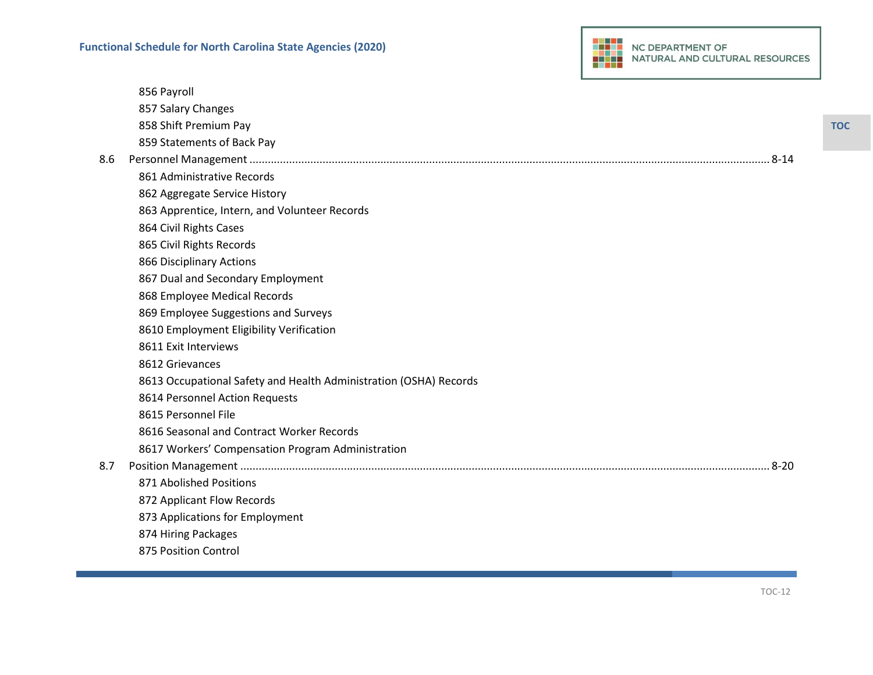

|     | 856 Payroll                                                       |
|-----|-------------------------------------------------------------------|
|     | 857 Salary Changes                                                |
|     | 858 Shift Premium Pay                                             |
|     | 859 Statements of Back Pay                                        |
| 8.6 |                                                                   |
|     | 861 Administrative Records                                        |
|     | 862 Aggregate Service History                                     |
|     | 863 Apprentice, Intern, and Volunteer Records                     |
|     | 864 Civil Rights Cases                                            |
|     | 865 Civil Rights Records                                          |
|     | 866 Disciplinary Actions                                          |
|     | 867 Dual and Secondary Employment                                 |
|     | 868 Employee Medical Records                                      |
|     | 869 Employee Suggestions and Surveys                              |
|     | 8610 Employment Eligibility Verification                          |
|     | 8611 Exit Interviews                                              |
|     | 8612 Grievances                                                   |
|     | 8613 Occupational Safety and Health Administration (OSHA) Records |
|     | 8614 Personnel Action Requests                                    |
|     | 8615 Personnel File                                               |
|     | 8616 Seasonal and Contract Worker Records                         |
|     | 8617 Workers' Compensation Program Administration                 |
| 8.7 |                                                                   |
|     | 871 Abolished Positions                                           |
|     | 872 Applicant Flow Records                                        |
|     | 873 Applications for Employment                                   |
|     | 874 Hiring Packages                                               |
|     | 875 Position Control                                              |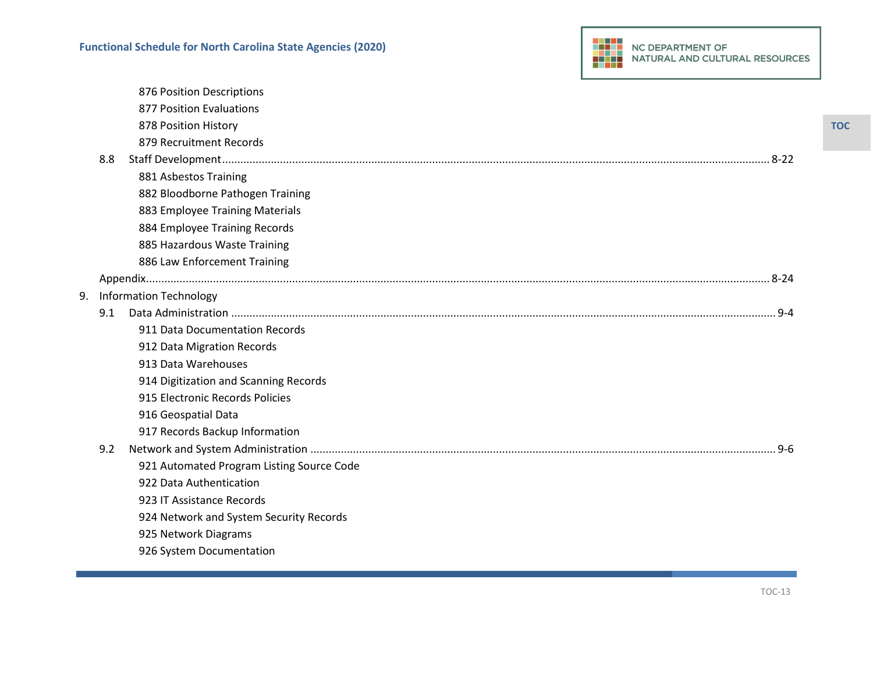|    |     | 876 Position Descriptions                 |
|----|-----|-------------------------------------------|
|    |     | 877 Position Evaluations                  |
|    |     | 878 Position History                      |
|    |     | 879 Recruitment Records                   |
|    | 8.8 |                                           |
|    |     | 881 Asbestos Training                     |
|    |     | 882 Bloodborne Pathogen Training          |
|    |     | 883 Employee Training Materials           |
|    |     | 884 Employee Training Records             |
|    |     | 885 Hazardous Waste Training              |
|    |     | 886 Law Enforcement Training              |
|    |     |                                           |
| 9. |     | <b>Information Technology</b>             |
|    | 9.1 |                                           |
|    |     | 911 Data Documentation Records            |
|    |     | 912 Data Migration Records                |
|    |     | 913 Data Warehouses                       |
|    |     | 914 Digitization and Scanning Records     |
|    |     | 915 Electronic Records Policies           |
|    |     | 916 Geospatial Data                       |
|    |     | 917 Records Backup Information            |
|    | 9.2 |                                           |
|    |     | 921 Automated Program Listing Source Code |
|    |     | 922 Data Authentication                   |
|    |     | 923 IT Assistance Records                 |
|    |     | 924 Network and System Security Records   |
|    |     | 925 Network Diagrams                      |
|    |     | 926 System Documentation                  |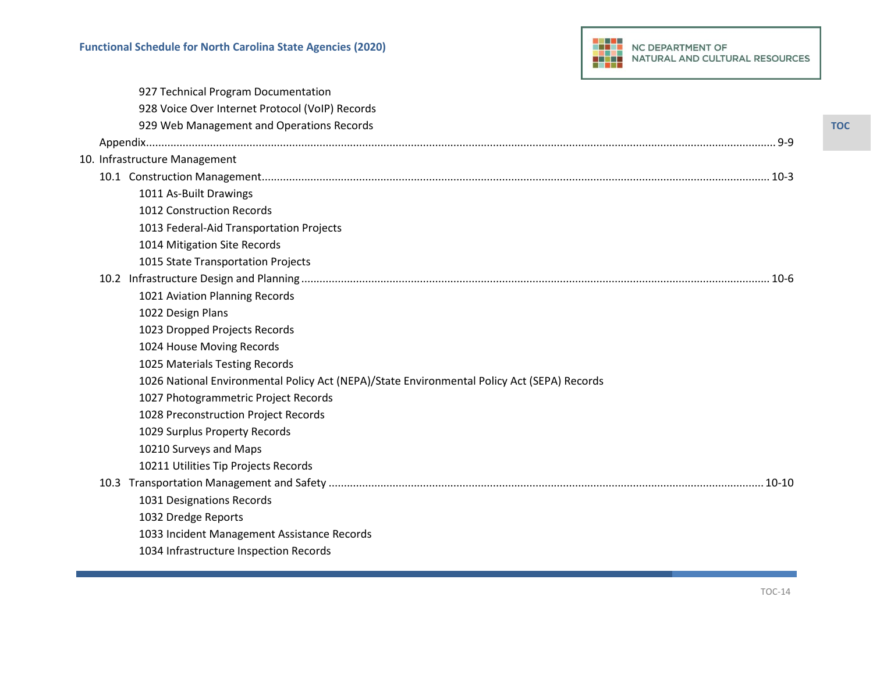|  | 927 Technical Program Documentation                                                         |
|--|---------------------------------------------------------------------------------------------|
|  | 928 Voice Over Internet Protocol (VoIP) Records                                             |
|  | 929 Web Management and Operations Records                                                   |
|  |                                                                                             |
|  | 10. Infrastructure Management                                                               |
|  |                                                                                             |
|  | 1011 As-Built Drawings                                                                      |
|  | 1012 Construction Records                                                                   |
|  | 1013 Federal-Aid Transportation Projects                                                    |
|  | 1014 Mitigation Site Records                                                                |
|  | 1015 State Transportation Projects                                                          |
|  |                                                                                             |
|  | 1021 Aviation Planning Records                                                              |
|  | 1022 Design Plans                                                                           |
|  | 1023 Dropped Projects Records                                                               |
|  | 1024 House Moving Records                                                                   |
|  | 1025 Materials Testing Records                                                              |
|  | 1026 National Environmental Policy Act (NEPA)/State Environmental Policy Act (SEPA) Records |
|  | 1027 Photogrammetric Project Records                                                        |
|  | 1028 Preconstruction Project Records                                                        |
|  | 1029 Surplus Property Records                                                               |
|  | 10210 Surveys and Maps                                                                      |
|  | 10211 Utilities Tip Projects Records                                                        |
|  | $10-10$                                                                                     |
|  | 1031 Designations Records                                                                   |
|  | 1032 Dredge Reports                                                                         |
|  | 1033 Incident Management Assistance Records                                                 |
|  | 1034 Infrastructure Inspection Records                                                      |
|  |                                                                                             |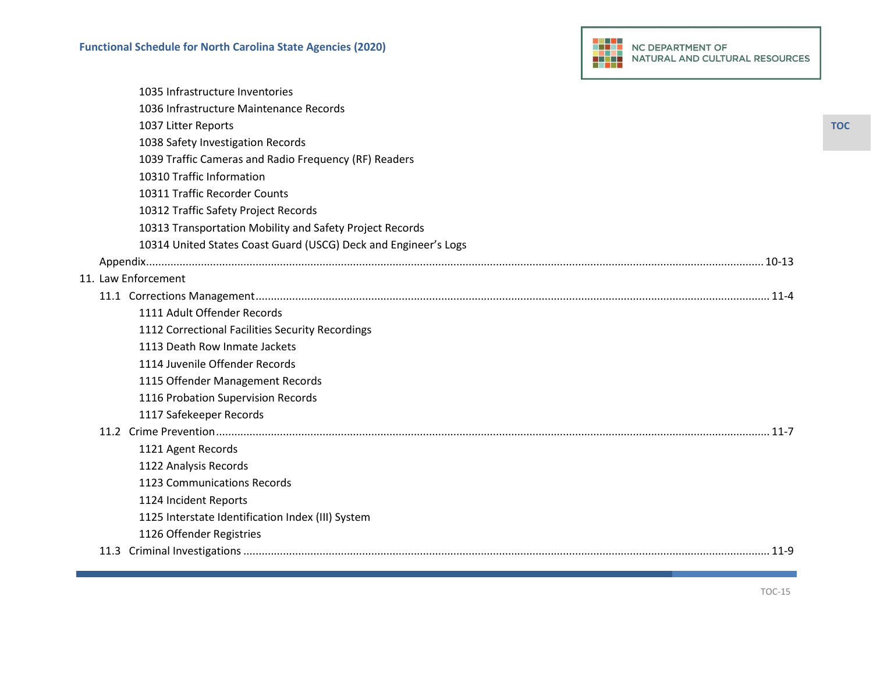|--|

| 1126 Offender Registries                                        |
|-----------------------------------------------------------------|
| 1125 Interstate Identification Index (III) System               |
| 1124 Incident Reports                                           |
| 1123 Communications Records                                     |
| 1122 Analysis Records                                           |
| 1121 Agent Records                                              |
|                                                                 |
| 1117 Safekeeper Records                                         |
| 1116 Probation Supervision Records                              |
| 1115 Offender Management Records                                |
| 1114 Juvenile Offender Records                                  |
| 1113 Death Row Inmate Jackets                                   |
| 1112 Correctional Facilities Security Recordings                |
| 1111 Adult Offender Records                                     |
|                                                                 |
| 11. Law Enforcement                                             |
|                                                                 |
| 10314 United States Coast Guard (USCG) Deck and Engineer's Logs |
| 10313 Transportation Mobility and Safety Project Records        |
| 10312 Traffic Safety Project Records                            |
| 10311 Traffic Recorder Counts                                   |
| 10310 Traffic Information                                       |
| 1039 Traffic Cameras and Radio Frequency (RF) Readers           |
| 1038 Safety Investigation Records                               |
| 1037 Litter Reports                                             |
| 1036 Infrastructure Maintenance Records                         |
| 1035 Infrastructure Inventories                                 |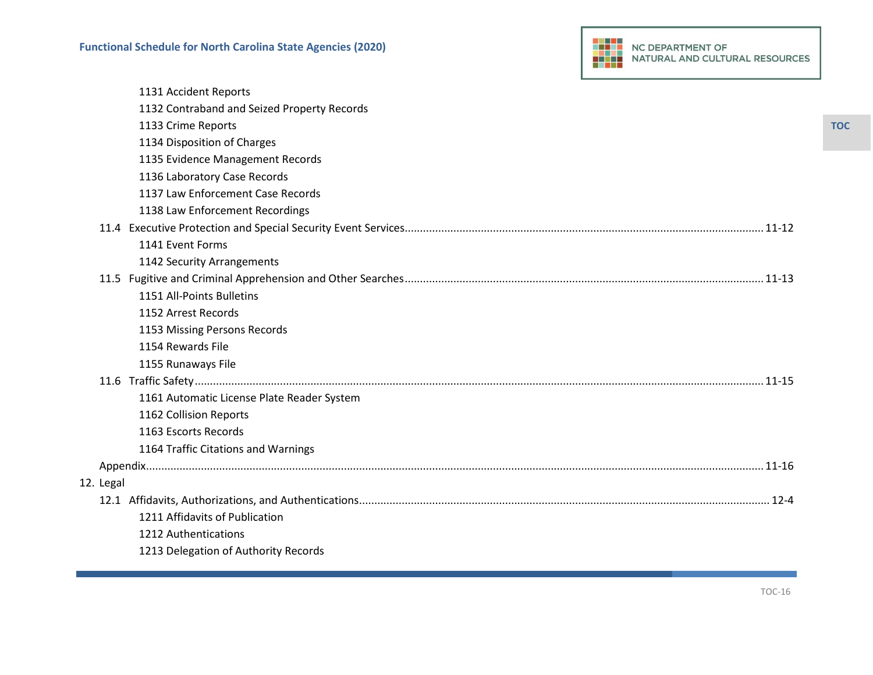|           | 1131 Accident Reports                       |
|-----------|---------------------------------------------|
|           | 1132 Contraband and Seized Property Records |
|           | 1133 Crime Reports                          |
|           | 1134 Disposition of Charges                 |
|           | 1135 Evidence Management Records            |
|           | 1136 Laboratory Case Records                |
|           | 1137 Law Enforcement Case Records           |
|           | 1138 Law Enforcement Recordings             |
|           |                                             |
|           | 1141 Event Forms                            |
|           | 1142 Security Arrangements                  |
|           |                                             |
|           | 1151 All-Points Bulletins                   |
|           | 1152 Arrest Records                         |
|           | 1153 Missing Persons Records                |
|           | 1154 Rewards File                           |
|           | 1155 Runaways File                          |
|           |                                             |
|           | 1161 Automatic License Plate Reader System  |
|           | 1162 Collision Reports                      |
|           | 1163 Escorts Records                        |
|           | 1164 Traffic Citations and Warnings         |
|           |                                             |
| 12. Legal |                                             |
|           |                                             |
|           | 1211 Affidavits of Publication              |
|           | 1212 Authentications                        |
|           | 1213 Delegation of Authority Records        |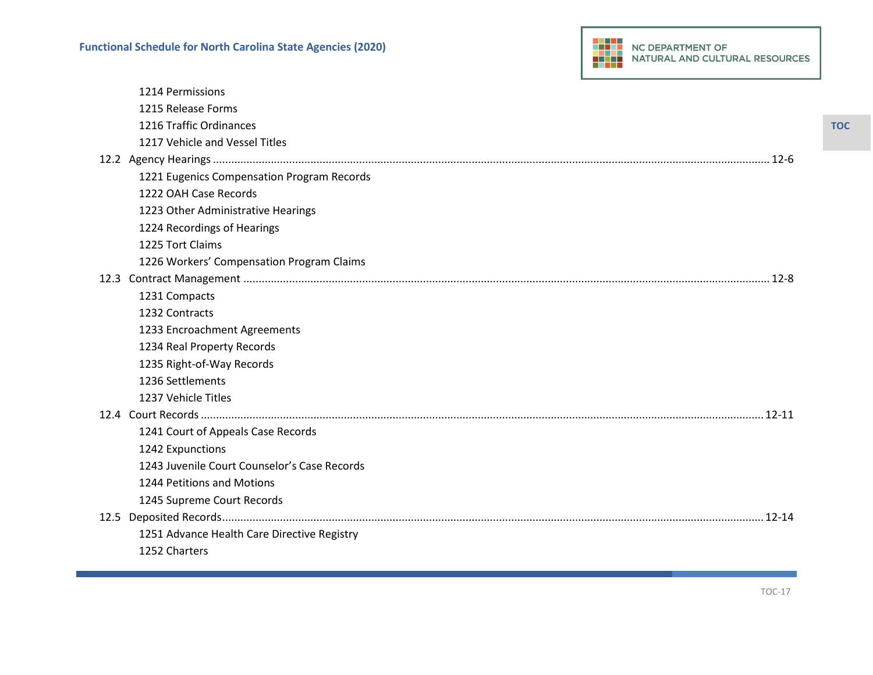|      | 1214 Permissions                             |
|------|----------------------------------------------|
|      | 1215 Release Forms                           |
|      | 1216 Traffic Ordinances                      |
|      | 1217 Vehicle and Vessel Titles               |
|      |                                              |
|      | 1221 Eugenics Compensation Program Records   |
|      | 1222 OAH Case Records                        |
|      | 1223 Other Administrative Hearings           |
|      | 1224 Recordings of Hearings                  |
|      | 1225 Tort Claims                             |
|      | 1226 Workers' Compensation Program Claims    |
|      |                                              |
|      | 1231 Compacts                                |
|      | 1232 Contracts                               |
|      | 1233 Encroachment Agreements                 |
|      | 1234 Real Property Records                   |
|      | 1235 Right-of-Way Records                    |
|      | 1236 Settlements                             |
|      | 1237 Vehicle Titles                          |
|      |                                              |
|      | 1241 Court of Appeals Case Records           |
|      | 1242 Expunctions                             |
|      | 1243 Juvenile Court Counselor's Case Records |
|      | 1244 Petitions and Motions                   |
|      | 1245 Supreme Court Records                   |
| 12.5 |                                              |
|      | 1251 Advance Health Care Directive Registry  |
|      | 1252 Charters                                |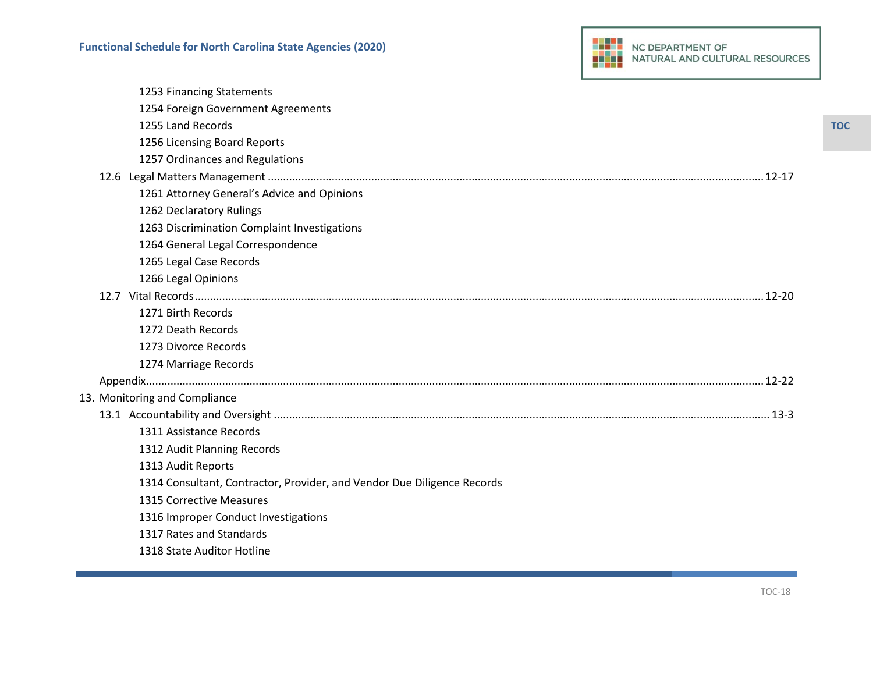|  | 1253 Financing Statements                                               |
|--|-------------------------------------------------------------------------|
|  | 1254 Foreign Government Agreements                                      |
|  | 1255 Land Records                                                       |
|  | 1256 Licensing Board Reports                                            |
|  | 1257 Ordinances and Regulations                                         |
|  |                                                                         |
|  | 1261 Attorney General's Advice and Opinions                             |
|  | 1262 Declaratory Rulings                                                |
|  | 1263 Discrimination Complaint Investigations                            |
|  | 1264 General Legal Correspondence                                       |
|  | 1265 Legal Case Records                                                 |
|  | 1266 Legal Opinions                                                     |
|  |                                                                         |
|  | 1271 Birth Records                                                      |
|  | 1272 Death Records                                                      |
|  | 1273 Divorce Records                                                    |
|  | 1274 Marriage Records                                                   |
|  |                                                                         |
|  | 13. Monitoring and Compliance                                           |
|  |                                                                         |
|  | 1311 Assistance Records                                                 |
|  | 1312 Audit Planning Records                                             |
|  | 1313 Audit Reports                                                      |
|  | 1314 Consultant, Contractor, Provider, and Vendor Due Diligence Records |
|  | <b>1315 Corrective Measures</b>                                         |
|  | 1316 Improper Conduct Investigations                                    |
|  | 1317 Rates and Standards                                                |
|  | 1318 State Auditor Hotline                                              |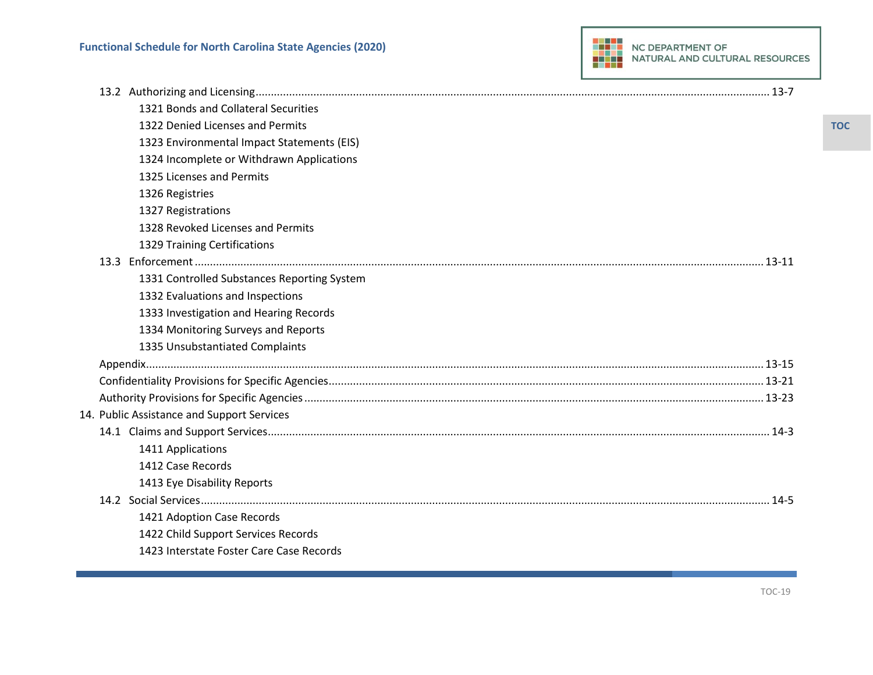| 1321 Bonds and Collateral Securities        |  |
|---------------------------------------------|--|
| 1322 Denied Licenses and Permits            |  |
| 1323 Environmental Impact Statements (EIS)  |  |
| 1324 Incomplete or Withdrawn Applications   |  |
| 1325 Licenses and Permits                   |  |
| 1326 Registries                             |  |
| 1327 Registrations                          |  |
| 1328 Revoked Licenses and Permits           |  |
| 1329 Training Certifications                |  |
|                                             |  |
| 1331 Controlled Substances Reporting System |  |
| 1332 Evaluations and Inspections            |  |
| 1333 Investigation and Hearing Records      |  |
| 1334 Monitoring Surveys and Reports         |  |
| 1335 Unsubstantiated Complaints             |  |
|                                             |  |
|                                             |  |
|                                             |  |
| 14. Public Assistance and Support Services  |  |
|                                             |  |
| 1411 Applications                           |  |
| 1412 Case Records                           |  |
| 1413 Eye Disability Reports                 |  |
|                                             |  |
| 1421 Adoption Case Records                  |  |
| 1422 Child Support Services Records         |  |
| 1423 Interstate Foster Care Case Records    |  |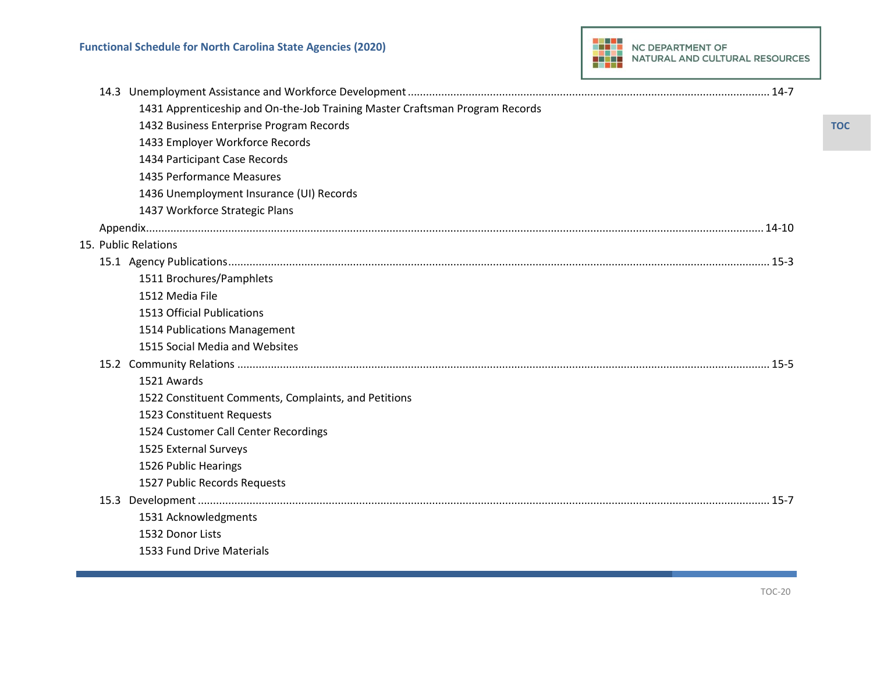| 1431 Apprenticeship and On-the-Job Training Master Craftsman Program Records |  |
|------------------------------------------------------------------------------|--|
| 1432 Business Enterprise Program Records                                     |  |
| 1433 Employer Workforce Records                                              |  |
| 1434 Participant Case Records                                                |  |
| 1435 Performance Measures                                                    |  |
| 1436 Unemployment Insurance (UI) Records                                     |  |
| 1437 Workforce Strategic Plans                                               |  |
|                                                                              |  |
| 15. Public Relations                                                         |  |
|                                                                              |  |
| 1511 Brochures/Pamphlets                                                     |  |
| 1512 Media File                                                              |  |
| <b>1513 Official Publications</b>                                            |  |
| 1514 Publications Management                                                 |  |
| 1515 Social Media and Websites                                               |  |
|                                                                              |  |
| 1521 Awards                                                                  |  |
| 1522 Constituent Comments, Complaints, and Petitions                         |  |
| 1523 Constituent Requests                                                    |  |
| 1524 Customer Call Center Recordings                                         |  |
| 1525 External Surveys                                                        |  |
| 1526 Public Hearings                                                         |  |
| 1527 Public Records Requests                                                 |  |
|                                                                              |  |
| 1531 Acknowledgments                                                         |  |
| 1532 Donor Lists                                                             |  |
| 1533 Fund Drive Materials                                                    |  |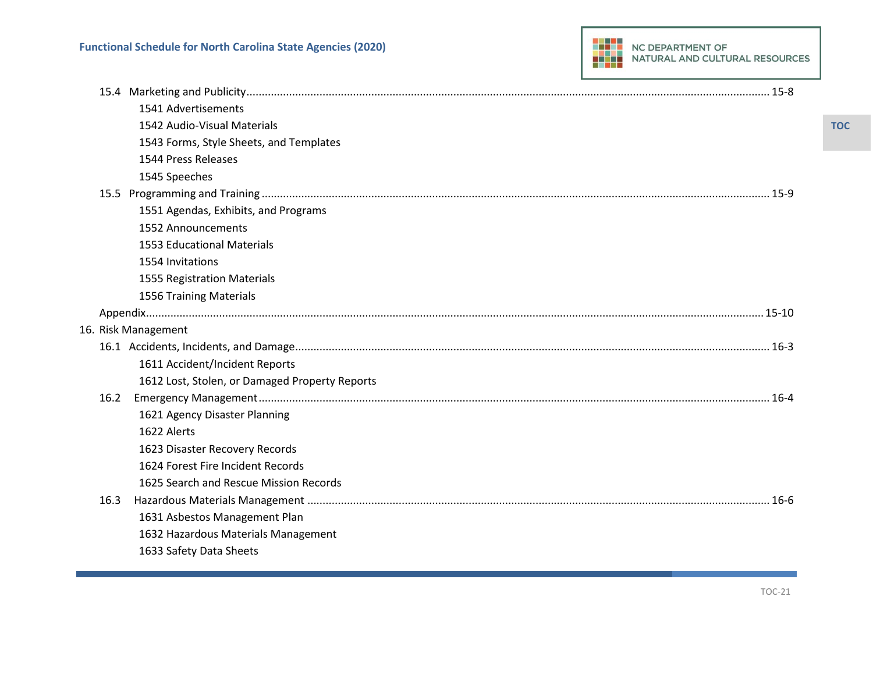|      | 1541 Advertisements                            |
|------|------------------------------------------------|
|      | 1542 Audio-Visual Materials                    |
|      | 1543 Forms, Style Sheets, and Templates        |
|      | 1544 Press Releases                            |
|      | 1545 Speeches                                  |
|      |                                                |
|      | 1551 Agendas, Exhibits, and Programs           |
|      | 1552 Announcements                             |
|      | <b>1553 Educational Materials</b>              |
|      | 1554 Invitations                               |
|      | 1555 Registration Materials                    |
|      | <b>1556 Training Materials</b>                 |
|      |                                                |
|      | 16. Risk Management                            |
|      |                                                |
|      | 1611 Accident/Incident Reports                 |
|      | 1612 Lost, Stolen, or Damaged Property Reports |
| 16.2 |                                                |
|      | 1621 Agency Disaster Planning                  |
|      | 1622 Alerts                                    |
|      | 1623 Disaster Recovery Records                 |
|      | 1624 Forest Fire Incident Records              |
|      | 1625 Search and Rescue Mission Records         |
| 16.3 |                                                |
|      | 1631 Asbestos Management Plan                  |
|      | 1632 Hazardous Materials Management            |
|      | 1633 Safety Data Sheets                        |
|      |                                                |